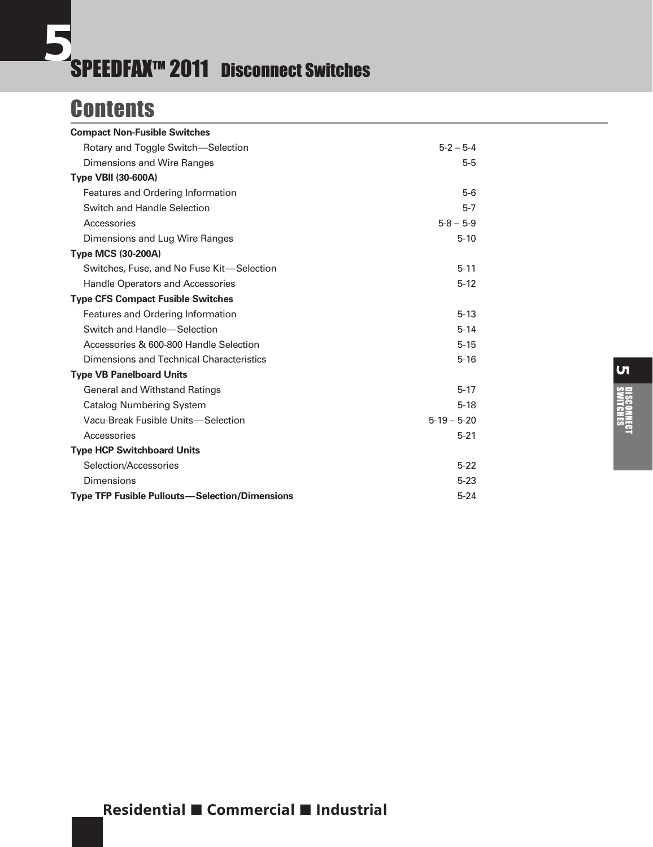# **Contents**

| <b>Compact Non-Fusible Switches</b>                   |                 |
|-------------------------------------------------------|-----------------|
| Rotary and Toggle Switch-Selection                    | $5 - 2 - 5 - 4$ |
| Dimensions and Wire Ranges                            | $5-5$           |
| <b>Type VBII (30-600A)</b>                            |                 |
| Features and Ordering Information                     | $5-6$           |
| Switch and Handle Selection                           | $5 - 7$         |
| Accessories                                           | $5 - 8 - 5 - 9$ |
| Dimensions and Lug Wire Ranges                        | $5 - 10$        |
| <b>Type MCS (30-200A)</b>                             |                 |
| Switches, Fuse, and No Fuse Kit-Selection             | $5 - 11$        |
| <b>Handle Operators and Accessories</b>               | $5 - 12$        |
| <b>Type CFS Compact Fusible Switches</b>              |                 |
| Features and Ordering Information                     | $5 - 13$        |
| Switch and Handle-Selection                           | $5 - 14$        |
| Accessories & 600-800 Handle Selection                | $5 - 15$        |
| Dimensions and Technical Characteristics              | $5 - 16$        |
| <b>Type VB Panelboard Units</b>                       |                 |
| <b>General and Withstand Ratings</b>                  | $5 - 17$        |
| <b>Catalog Numbering System</b>                       | $5 - 18$        |
| Vacu-Break Fusible Units-Selection                    | $5-19-5-20$     |
| Accessories                                           | $5 - 21$        |
| <b>Type HCP Switchboard Units</b>                     |                 |
| Selection/Accessories                                 | $5 - 22$        |
| Dimensions                                            | $5 - 23$        |
| <b>Type TFP Fusible Pullouts-Selection/Dimensions</b> | $5 - 24$        |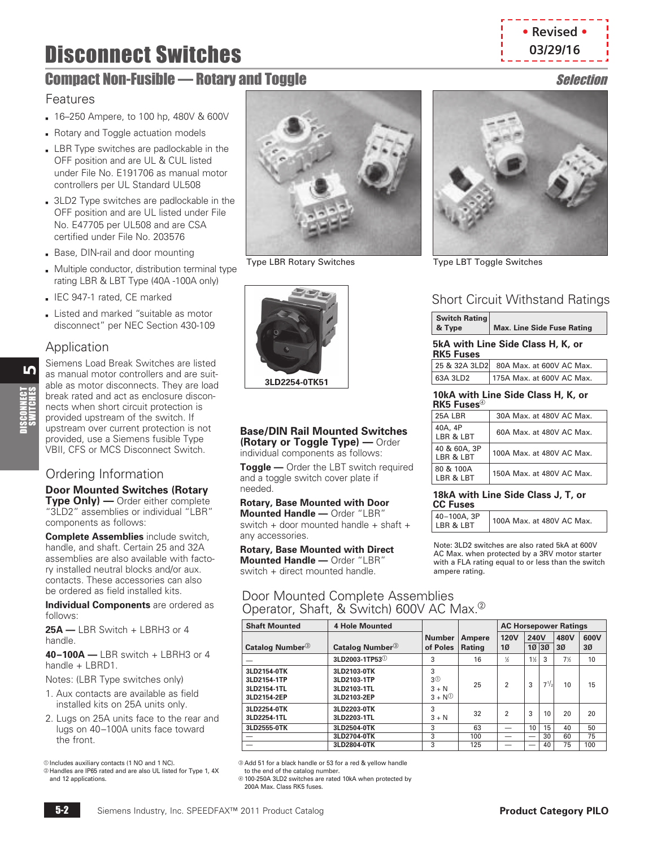# **Disconnect Switches Connect Switches**

# <span id="page-1-0"></span>**Compact Non-Fusible — Rotary and Toggle Selection**

#### Features

- **16–250 Ampere, to 100 hp, 480V & 600V**
- **B** Rotary and Toggle actuation models
- **LBR Type switches are padlockable in the** OFF position and are UL & CUL listed under File No. E191706 as manual motor controllers per UL Standard UL508
- **3LD2 Type switches are padlockable in the** OFF position and are UL listed under File No. E47705 per UL508 and are CSA certified under File No. 203576
- Base, DIN-rail and door mounting
- Multiple conductor, distribution terminal type rating LBR & LBT Type (40A -100A only)
- **B** IEC 947-1 rated, CE marked
- Listed and marked "suitable as motor disconnect" per NEC Section 430-109

#### Application

 $\mathbf{L}$ 

DISCONNECT<br>SWITCHES

Siemens Load Break Switches are listed as manual motor controllers and are suitable as motor disconnects. They are load break rated and act as enclosure disconnects when short circuit protection is provided upstream of the switch. If upstream over current protection is not provided, use a Siemens fusible Type VBII, CFS or MCS Disconnect Switch.

### Ordering Information

#### **Door Mounted Switches (Rotary**

**Type Only) —** Order either complete "3LD2" assemblies or individual "LBR" components as follows:

**Complete Assemblies** include switch, handle, and shaft. Certain 25 and 32A assemblies are also available with factory installed neutral blocks and/or aux. contacts. These accessories can also be ordered as field installed kits.

**Individual Components** are ordered as follows:

**25A —** LBR Switch + LBRH3 or 4 handle.

**40–100A —** LBR switch + LBRH3 or 4 handle + LBRD1.

Notes: (LBR Type switches only)

- 1. Aux contacts are available as field installed kits on 25A units only.
- 2. Lugs on 25A units face to the rear and lugs on 40–100A units face toward the front.

 $@$  Includes auxiliary contacts (1 NO and 1 NC).

 $@$  Handles are IP65 rated and are also UL listed for Type 1, 4X and 12 applications.

to the end of the catalog number.

d 100-250A 3LD2 switches are rated 10kA when protected by 200A May. Class RK5 fuses.

Type LBR Rotary Switches



#### **Base/DIN Rail Mounted Switches (Rotary or Toggle Type) —** Order

individual components as follows: **Toggle —** Order the LBT switch required

and a toggle switch cover plate if needed.

**Rotary, Base Mounted with Door Mounted Handle —** Order "LBR" switch + door mounted handle + shaft + any accessories.

**Rotary, Base Mounted with Direct Mounted Handle —** Order "LBR" switch + direct mounted handle.

#### Door Mounted Complete Assemblies Operator, Shaft, & Switch) 600V AC Max.<sup>2</sup>

| <b>Shaft Mounted</b>                                     | <b>4 Hole Mounted</b>                                    |                                            |        | <b>AC Horsepower Ratings</b> |       |           |                 |              |
|----------------------------------------------------------|----------------------------------------------------------|--------------------------------------------|--------|------------------------------|-------|-----------|-----------------|--------------|
|                                                          |                                                          | <b>Number</b>                              | Ampere | <b>120V</b><br>240V          |       | 480V      | 600V            |              |
| Catalog Number <sup>3</sup>                              | Catalog Number <sup>3</sup>                              | of Poles                                   | Rating | 10                           | 10 30 |           | 30 <sup>o</sup> | $30^{\circ}$ |
|                                                          | 3LD2003-1TP53 <sup>①</sup>                               | 3                                          | 16     | 16                           | $1\%$ | 3         | $7\%$           | 10           |
| 3LD2154-0TK<br>3LD2154-1TP<br>3LD2154-1TL<br>3LD2154-2EP | 3LD2103-0TK<br>3LD2103-1TP<br>3LD2103-1TL<br>3LD2103-2EP | 3<br>з <sup>®</sup><br>$3 + N$<br>$3 + No$ | 25     | 2                            | 3     | $7^{1/2}$ | 10              | 15           |
| 3LD2254-0TK<br>3LD2254-1TL                               | 3LD2203-0TK<br>3LD2203-1TL                               | 3<br>$3 + N$                               | 32     | 2                            | 3     | 10        | 20              | 20           |
| 3LD2555-0TK                                              | 3LD2504-0TK                                              | 3                                          | 63     |                              | 10    | 15        | 40              | 50           |
|                                                          | 3LD2704-0TK                                              | 3                                          | 100    |                              |       | 30        | 60              | 75           |
|                                                          | 3LD2804-0TK                                              | 3                                          | 125    |                              |       | 40        | 75              | 100          |

c Add 51 for a black handle or 53 for a red & yellow handle

**• Revised •**



Type LBT Toggle Switches

## Short Circuit Withstand Ratings

| Switch Rating<br>& Type | Max. Line Side Fuse Rating        |
|-------------------------|-----------------------------------|
| <b>RK5 Fuses</b>        | 5kA with Line Side Class H, K, or |

|          | 25 & 32A 3LD2 80A Max. at 600V AC Max. |
|----------|----------------------------------------|
| 63A 3LD2 | 175A Max. at 600V AC Max.              |

#### **10kA with Line Side Class H, K, or RK5 Fuses**<sup>d</sup>

| 25A LBR                         | 30A Max, at 480V AC Max.  |
|---------------------------------|---------------------------|
| 40A, 4P<br><b>LBR &amp; LBT</b> | 60A Max, at 480V AC Max.  |
| 40 & 60A, 3P<br>IRR & IRT       | 100A Max. at 480V AC Max. |
| 80 & 100A<br>IRR & IRT          | 150A Max. at 480V AC Max. |

#### **18kA with Line Side Class J, T, or CC Fuses**

Note: 3LD2 switches are also rated 5kA at 600V AC Max. when protected by a 3RV motor starter with a FLA rating equal to or less than the switch ampere rating.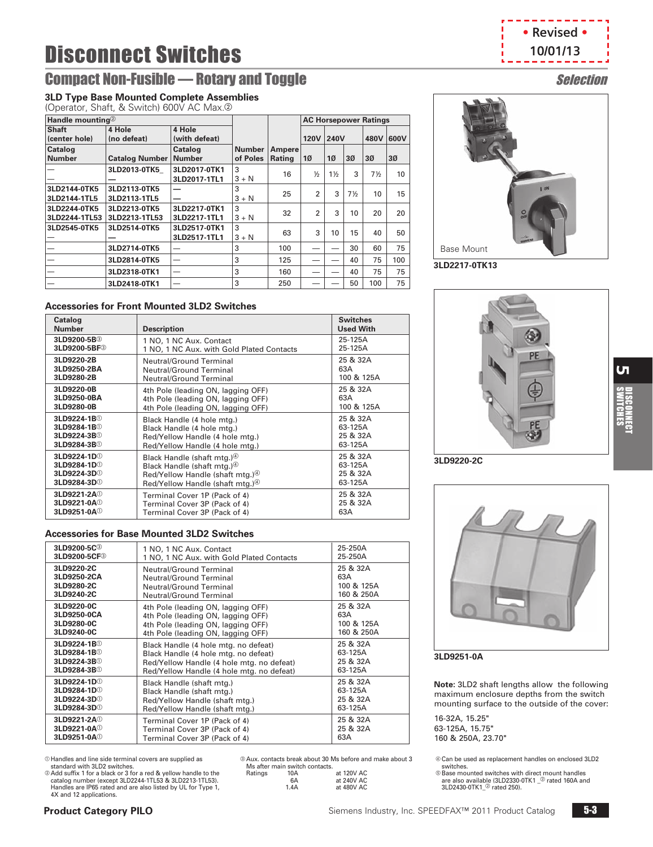# **Compact Non-Fusible — Rotary and Toggle Selection** Selection

#### **3LD Type Base Mounted Complete Assemblies**

(Operator, Shaft, & Switch) 600V AC Max.2

| Handle mounting <sup>2</sup>  |                               |                              |                           |                         |                |                | <b>AC Horsepower Ratings</b> |                 |                 |
|-------------------------------|-------------------------------|------------------------------|---------------------------|-------------------------|----------------|----------------|------------------------------|-----------------|-----------------|
| <b>Shaft</b><br>(center hole) | 4 Hole<br>(no defeat)         | 4 Hole<br>(with defeat)      |                           |                         | <b>120V</b>    | 240V           |                              | 480V            | 600V            |
| Catalog<br><b>Number</b>      | <b>Catalog Number</b>         | Catalog<br><b>Number</b>     | <b>Number</b><br>of Poles | <b>Ampere</b><br>Rating | 10             | 10             | 30 <sup>o</sup>              | 30 <sup>o</sup> | 30 <sup>o</sup> |
|                               | 3LD2013-0TK5                  | 3LD2017-0TK1<br>3LD2017-1TL1 | 3<br>$3 + N$              | 16                      | $\frac{1}{2}$  | $1\frac{1}{2}$ | 3                            | $7\frac{1}{2}$  | 10              |
| 3LD2144-0TK5<br>3LD2144-1TL5  | 3LD2113-0TK5<br>3LD2113-1TL5  |                              | 3<br>$3 + N$              | 25                      | $\overline{2}$ | 3              | $7\frac{1}{2}$               | 10              | 15              |
| 3LD2244-0TK5<br>3LD2244-1TL53 | 3LD2213-0TK5<br>3LD2213-1TL53 | 3LD2217-0TK1<br>3LD2217-1TL1 | 3<br>$3 + N$              | 32                      | $\mathfrak{p}$ | 3              | 10                           | 20              | 20              |
| 3LD2545-0TK5                  | 3LD2514-0TK5                  | 3LD2517-0TK1<br>3LD2517-1TL1 | 3<br>$3 + N$              | 63                      | 3              | 10             | 15                           | 40              | 50              |
|                               | 3LD2714-0TK5                  |                              | 3                         | 100                     |                |                | 30                           | 60              | 75              |
|                               | 3LD2814-0TK5                  |                              | 3                         | 125                     |                |                | 40                           | 75              | 100             |
|                               | 3LD2318-0TK1                  |                              | 3                         | 160                     |                |                | 40                           | 75              | 75              |
|                               | 3LD2418-0TK1                  |                              | 3                         | 250                     |                |                | 50                           | 100             | 75              |

#### **Accessories for Front Mounted 3LD2 Switches**

| Catalog<br><b>Number</b>  | <b>Description</b>                            | <b>Switches</b><br><b>Used With</b> |
|---------------------------|-----------------------------------------------|-------------------------------------|
| 3LD9200-5B <sup>3</sup>   | 1 NO, 1 NC Aux. Contact                       | 25-125A                             |
| 3LD9200-5BF <sup>3</sup>  | 1 NO, 1 NC Aux. with Gold Plated Contacts     | 25-125A                             |
| 3LD9220-2B                | <b>Neutral/Ground Terminal</b>                | 25 & 32A                            |
| 3LD9250-2BA               | Neutral/Ground Terminal                       | 63A                                 |
| 3LD9280-2B                | <b>Neutral/Ground Terminal</b>                | 100 & 125A                          |
| 3LD9220-0B                | 4th Pole (leading ON, lagging OFF)            | 25 & 32A                            |
| 3LD9250-0BA               | 4th Pole (leading ON, lagging OFF)            | 63A                                 |
| 3LD9280-0B                | 4th Pole (leading ON, lagging OFF)            | 100 & 125A                          |
| 3LD9224-1B <sup>1</sup>   | Black Handle (4 hole mtg.)                    | 25 & 32A                            |
| 3LD9284-1B <sup>O</sup>   | Black Handle (4 hole mtg.)                    | 63-125A                             |
| 3LD9224-3B <sup>O</sup>   | Red/Yellow Handle (4 hole mtg.)               | 25 & 32A                            |
| 3LD9284-3B <sup>①</sup>   | Red/Yellow Handle (4 hole mtg.)               | 63-125A                             |
| 3LD9224-1D <sup>0</sup>   | Black Handle (shaft mtg.) <sup>(4)</sup>      | 25 & 32A                            |
| 3LD9284-1D <sup>0</sup>   | Black Handle (shaft mtg.) <sup>40</sup>       | 63-125A                             |
| 3LD9224-3D <sup>0</sup>   | Red/Yellow Handle (shaft mtg.) <sup>(4)</sup> | 25 & 32A                            |
| 3LD9284-3D <sup>0</sup>   | Red/Yellow Handle (shaft mtg.) <sup>(4)</sup> | 63-125A                             |
| 3LD9221-2A <sup>(1)</sup> | Terminal Cover 1P (Pack of 4)                 | 25 & 32A                            |
| 3LD9221-0A <sup>(1)</sup> | Terminal Cover 3P (Pack of 4)                 | 25 & 32A                            |
| 3LD9251-0A <sup>O</sup>   | Terminal Cover 3P (Pack of 4)                 | 63A                                 |

#### **Accessories for Base Mounted 3LD2 Switches**

| 3LD9200-5C <sup>3</sup>  | 1 NO, 1 NC Aux. Contact                   | 25-250A    |
|--------------------------|-------------------------------------------|------------|
| 3LD9200-5CF <sup>3</sup> | 1 NO, 1 NC Aux. with Gold Plated Contacts | 25-250A    |
| 3LD9220-2C               | <b>Neutral/Ground Terminal</b>            | 25 & 32A   |
| 3LD9250-2CA              | <b>Neutral/Ground Terminal</b>            | 63A        |
| 3LD9280-2C               | Neutral/Ground Terminal                   | 100 & 125A |
| 3LD9240-2C               | Neutral/Ground Terminal                   | 160 & 250A |
| 3LD9220-0C               | 4th Pole (leading ON, lagging OFF)        | 25 & 32A   |
| 3LD9250-0CA              | 4th Pole (leading ON, lagging OFF)        | 63A        |
| 3LD9280-0C               | 4th Pole (leading ON, lagging OFF)        | 100 & 125A |
| 3LD9240-0C               | 4th Pole (leading ON, lagging OFF)        | 160 & 250A |
| 3LD9224-1B <sup>①</sup>  | Black Handle (4 hole mtg. no defeat)      | 25 & 32A   |
| 3LD9284-1B <sup>O</sup>  | Black Handle (4 hole mtg. no defeat)      | 63-125A    |
| 3LD9224-3B <sup>O</sup>  | Red/Yellow Handle (4 hole mtg. no defeat) | 25 & 32A   |
| 3LD9284-3B <sup>①</sup>  | Red/Yellow Handle (4 hole mtg. no defeat) | 63-125A    |
| 3LD9224-1D <sup>0</sup>  | Black Handle (shaft mtg.)                 | 25 & 32A   |
| 3LD9284-1D <sup>0</sup>  | Black Handle (shaft mtg.)                 | 63-125A    |
| 3LD9224-3D <sup>①</sup>  | Red/Yellow Handle (shaft mtg.)            | 25 & 32A   |
| 3LD9284-3D <sup>0</sup>  | Red/Yellow Handle (shaft mtg.)            | 63-125A    |
| 3LD9221-2A <sup>O</sup>  | Terminal Cover 1P (Pack of 4)             | 25 & 32A   |
| 3LD9221-0A <sup>O</sup>  | Terminal Cover 3P (Pack of 4)             | 25 & 32A   |
| 3LD9251-0A <sup>O</sup>  | Terminal Cover 3P (Pack of 4)             | 63A        |

a Handles and line side terminal covers are supplied as standard with 3LD2 switches.

**2** Add suffix 1 for a black or 3 for a red & yellow handle to the catalog number (except 3LD2244-1TL53 & 3LD2213-1TL53). Handles are IP65 rated and are also listed by UL for Type 1, 4X and 12 applications.

c Aux. contacts break about 30 Ms before and make about 3 Ms after main switch contacts.

| Ratings | 10A  | at 120V AC |
|---------|------|------------|
|         | 6A   | at 240V AC |
|         | 1.4A | at 480V AC |

| • Revised • |  |
|-------------|--|
| 10/01/13    |  |
|             |  |



**3LD2217-0TK13**



**3LD9220-2C**



#### **3LD9251-0A**

**Note:** 3LD2 shaft lengths allow the following maximum enclosure depths from the switch mounting surface to the outside of the cover:

16-32A, 15.25" 63-125A, 15.75" 160 & 250A, 23.70"

d Can be used as replacement handles on enclosed 3LD2 switches.

® Base mounted switches with direct mount handles<br>are also available (3LD2330-0TK1 \_® rated 160A and<br>3LD2430-0TK1\_® rated 250).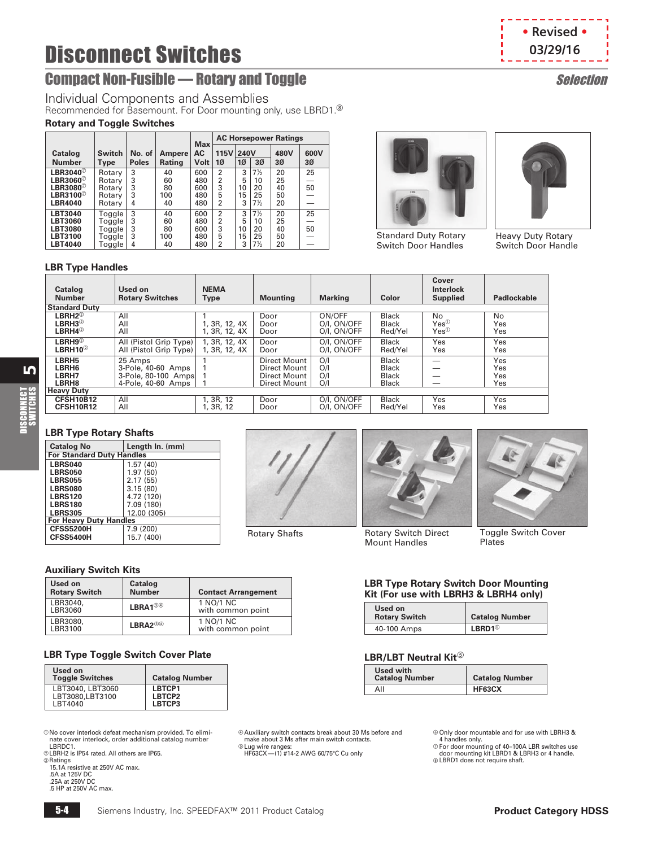# **Disconnect Switches Constanting Constanting Constanting Constanting Constanting Constanting Constanting Constanting Constanting Constanting Constanting Constanting Constanting Constanting Constanting Constanting Constan**

# <span id="page-3-0"></span>**Compact Non-Fusible — Rotary and Toggle Selection Selection**

Individual Components and Assemblies

Recommended for Basemount. For Door mounting only, use LBRD1.<sup>®</sup>

#### **Rotary and Toggle Switches**

|                                                                                                |                                                |                        |                             | <b>Max</b>                      |                                                              |                         |                                                    | <b>AC Horsepower Ratings</b> |                         |  |  |  |
|------------------------------------------------------------------------------------------------|------------------------------------------------|------------------------|-----------------------------|---------------------------------|--------------------------------------------------------------|-------------------------|----------------------------------------------------|------------------------------|-------------------------|--|--|--|
| Catalog<br><b>Number</b>                                                                       | <b>Switch</b><br>Type                          | No. of<br><b>Poles</b> | Ampere<br>Rating            | АC<br>Volt                      | 115V 240V<br>1Ø                                              | 10                      | 3Ø                                                 | 480V<br>3Ø                   | 600V<br>30 <sup>o</sup> |  |  |  |
| LBR3040 $^\circ$<br>LBR3060 $^\circ$<br>LBR3080 $^\circ$<br>LBR3100 $^\circ$<br><b>LBR4040</b> | Rotary<br>Rotary<br>Rotary<br>Rotary<br>Rotary | 3<br>3<br>3<br>3<br>4  | 40<br>60<br>80<br>100<br>40 | 600<br>480<br>600<br>480<br>480 | $\overline{2}$<br>$\overline{2}$<br>3<br>5<br>$\overline{2}$ | 3<br>5<br>10<br>15<br>3 | $7\frac{1}{2}$<br>10<br>20<br>25<br>$7\frac{1}{2}$ | 20<br>25<br>40<br>50<br>20   | 25<br>50                |  |  |  |
| <b>LBT3040</b><br><b>LBT3060</b><br><b>LBT3080</b><br>LBT3100<br><b>LBT4040</b>                | Toggle<br>Toggle<br>Toggle<br>Toggle<br>Toggle | 3<br>3<br>3<br>3<br>4  | 40<br>60<br>80<br>100<br>40 | 600<br>480<br>600<br>480<br>480 | $\overline{2}$<br>$\overline{2}$<br>3<br>5<br>$\overline{2}$ | 3<br>5<br>10<br>15<br>3 | $7\frac{1}{2}$<br>10<br>20<br>25<br>$7\frac{1}{2}$ | 20<br>25<br>40<br>50<br>20   | 25<br>50                |  |  |  |

#### **LBR Type Handles**

| $\cdots$                                                                    |                                                                            |                                |                                                              |                                      |                                                              |                                              |                          |
|-----------------------------------------------------------------------------|----------------------------------------------------------------------------|--------------------------------|--------------------------------------------------------------|--------------------------------------|--------------------------------------------------------------|----------------------------------------------|--------------------------|
| Catalog<br><b>Number</b>                                                    | Used on<br><b>Rotary Switches</b>                                          | <b>NEMA</b><br><b>Type</b>     | <b>Mounting</b>                                              | <b>Marking</b>                       | Color                                                        | Cover<br><b>Interlock</b><br><b>Supplied</b> | <b>Padlockable</b>       |
| <b>Standard Duty</b>                                                        |                                                                            |                                |                                                              |                                      |                                                              |                                              |                          |
| $\mathsf{LBRH}2^\circledcirc$<br>LBRH3 $^{\circ}$<br>$LBRH4^{\circledcirc}$ | All<br>All<br>All                                                          | , 3R, 12, 4X<br>I, 3R, 12, 4X  | Door<br>Door<br>Door                                         | ON/OFF<br>O/I, ON/OFF<br>O/I, ON/OFF | <b>Black</b><br><b>Black</b><br>Red/Yel                      | No<br>$Yes^{\circledR}$<br>$Yes^{\circledR}$ | No<br>Yes<br>Yes         |
| $LBRH9^{\circledcirc}$<br>$L$ BRH10 $^{\circledR}$                          | All (Pistol Grip Type)<br>All (Pistol Grip Type)                           | 1, 3R, 12, 4X<br>1, 3R, 12, 4X | Door<br>Door                                                 | O/I, ON/OFF<br>O/I, ON/OFF           | <b>Black</b><br>Red/Yel                                      | Yes<br>Yes                                   | Yes<br>Yes               |
| LBRH <sub>5</sub><br>LBRH6<br>LBRH7<br>LBRH8                                | 25 Amps<br>3-Pole, 40-60 Amps<br>3-Pole, 80-100 Amps<br>4-Pole, 40-60 Amps |                                | Direct Mount<br>Direct Mount<br>Direct Mount<br>Direct Mount | O/I<br>O/I<br>O/I<br>O/I             | <b>Black</b><br><b>Black</b><br><b>Black</b><br><b>Black</b> |                                              | Yes<br>Yes<br>Yes<br>Yes |
| <b>Heavy Duty</b>                                                           |                                                                            |                                |                                                              |                                      |                                                              |                                              |                          |
| CFSH10B12<br>CFSH10R12                                                      | All<br>All                                                                 | 1, 3R, 12<br>, 3R, 12          | Door<br>Door                                                 | O/I, ON/OFF<br>O/I, ON/OFF           | <b>Black</b><br>Red/Yel                                      | Yes<br>Yes                                   | Yes<br>Yes               |

#### **LBR Type Rotary Shafts**

| <b>Catalog No</b>                | Length In. (mm) |  |  |  |
|----------------------------------|-----------------|--|--|--|
| <b>For Standard Duty Handles</b> |                 |  |  |  |
| <b>LBRS040</b>                   | 1.57(40)        |  |  |  |
| <b>LBRS050</b>                   | 1.97(50)        |  |  |  |
| <b>LBRS055</b>                   | 2.17(55)        |  |  |  |
| <b>LBRS080</b>                   | 3.15(80)        |  |  |  |
| <b>LBRS120</b>                   | 4.72 (120)      |  |  |  |
| <b>LBRS180</b>                   | 7.09 (180)      |  |  |  |
| <b>LBRS305</b>                   | 12.00 (305)     |  |  |  |
| <b>For Heavy Duty Handles</b>    |                 |  |  |  |
| CFSS5200H                        | 7.9 (200)       |  |  |  |
| CFSS5400H                        | 15.7 (400)      |  |  |  |
|                                  |                 |  |  |  |

#### **Auxiliary Switch Kits**

| Used on<br><b>Rotary Switch</b> | Catalog<br><b>Number</b>         | <b>Contact Arrangement</b>     |
|---------------------------------|----------------------------------|--------------------------------|
| LBR3040,<br>LBR3060             | $LBRA1^{\circledR}$              | 1 NO/1 NC<br>with common point |
| LBR3080,<br>LBR3100             | $L$ BRA $2^{\circledS\circledA}$ | 1 NO/1 NC<br>with common point |

#### **LBR Type Toggle Switch Cover Plate**

| Used on<br><b>Toggle Switches</b> | <b>Catalog Number</b> |
|-----------------------------------|-----------------------|
| LBT3040, LBT3060                  | LBTCP1                |
| LBT3080.LBT3100                   | LBTCP2                |
| LBT4040                           | LBTCP3                |

a No cover interlock defeat mechanism provided. To elimi-nate cover interlock, order additional catalog number LBRDC1.

b LBRH2 is IP54 rated. All others are IP65.

**<sup>3</sup>** Ratings 15.1A resistive at 250V AC max. .5A at 125V DC

.25A at 250V DC

.5 HP at 250V AC max.





Standard Duty Rotary Switch Door Handles

Mount Handles



Heavy Duty Rotary Switch Door Handle

Rotary Shafts **The Start Cover Starts** Rotary Switch Direct Toggle Switch Cover Plates

#### **LBR Type Rotary Switch Door Mounting Kit (For use with LBRH3 & LBRH4 only)**

| Used on<br><b>Rotary Switch</b> | <b>Catalog Number</b> |
|---------------------------------|-----------------------|
| 40-100 Amps                     | $LRRD1$               |

#### **LBR/LBT Neutral Kit®**

| Used with<br><b>Catalog Number</b> | <b>Catalog Number</b> |
|------------------------------------|-----------------------|
| All                                | HF63CX                |

d Auxiliary switch contacts break about 30 Ms before and make about 3 Ms after main switch contacts.

e Lug wire ranges: HF63CX—(1) #14-2 AWG 60/75°C Cu only

© Only door mountable and for use with LBRH3 &<br>
4 handles only.<br>
⊘ For door mounting of 40–100A LBR switches use<br>
door mounting kit LBRD1 & LBRH3 or 4 handle.<br>
© LBRD1 does not require shaft.

**• Revised •**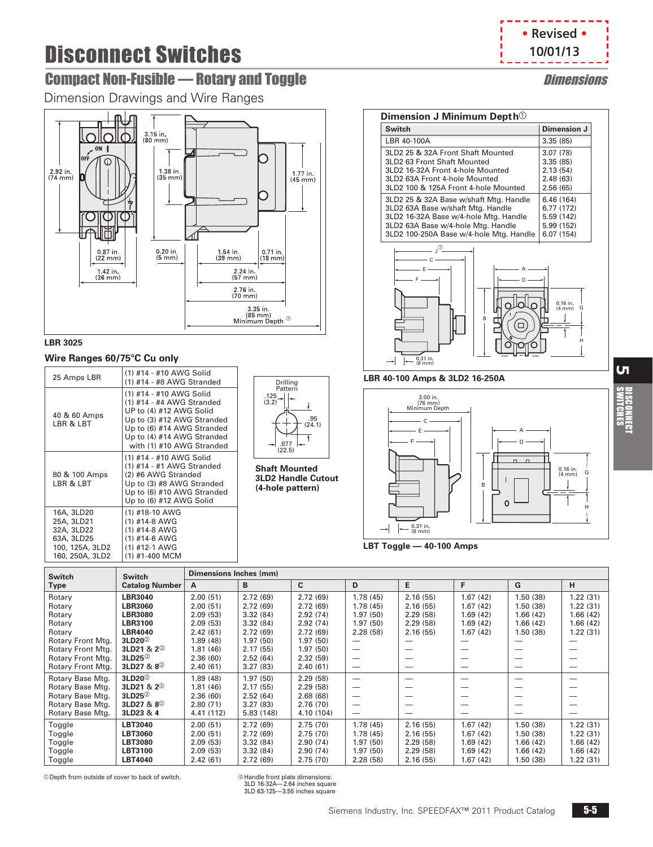# <span id="page-4-0"></span>**Compact Non-Fusible — Rotary and Toggle Dimensions of American Compact Non-Fusible American**

Dimension Drawings and Wire Ranges



#### **LBR 3025**

#### **Wire Ranges 60/75°C Cu only**

| 25 Amps LBR                                                                                | (1) #14 - #10 AWG Solid<br>(1) #14 - #8 AWG Stranded                                                                                                                                                   |
|--------------------------------------------------------------------------------------------|--------------------------------------------------------------------------------------------------------------------------------------------------------------------------------------------------------|
| 40 & 60 Amps<br>LBR & LBT                                                                  | (1) #14 - #10 AWG Solid<br>(1) #14 - #4 AWG Stranded<br>UP to (4) #12 AWG Solid<br>Up to (3) #12 AWG Stranded<br>Up to (6) #14 AWG Stranded<br>Up to (4) #14 AWG Stranded<br>with (1) #10 AWG Stranded |
| 80 & 100 Amps<br>LBR & LBT                                                                 | (1) #14 - #10 AWG Solid<br>(1) #14 - #1 AWG Stranded<br>(2) #6 AWG Stranded<br>Up to (3) #8 AWG Stranded<br>Up to (6) #10 AWG Stranded<br>Up to (6) #12 AWG Solid                                      |
| 16A, 3LD20<br>25A, 3LD21<br>32A, 3LD22<br>63A, 3LD25<br>100, 125A, 3LD2<br>160, 250A, 3LD2 | (1) #18-10 AWG<br>(1) #14-8 AWG<br>(1) #14-8 AWG<br>$(1)$ #14-6 AWG<br>(1) #12-1 AWG<br>(1) #1-400 MCM                                                                                                 |



**Shaft Mounted 3LD2 Handle Cutout (4-hole pattern)**



| Dimension J Minimum Depth <sup>1</sup>                                                                                                                                                                |                                                                   |  |  |  |  |  |  |  |
|-------------------------------------------------------------------------------------------------------------------------------------------------------------------------------------------------------|-------------------------------------------------------------------|--|--|--|--|--|--|--|
| <b>Switch</b>                                                                                                                                                                                         | Dimension J                                                       |  |  |  |  |  |  |  |
| LBR 40-100A                                                                                                                                                                                           | 3.35(85)                                                          |  |  |  |  |  |  |  |
| 3LD2 25 & 32A Front Shaft Mounted<br>3LD2 63 Front Shaft Mounted<br>3LD2 16-32A Front 4-hole Mounted<br>3LD2 63A Front 4-hole Mounted<br>3LD2 100 & 125A Front 4-hole Mounted                         | 3.07(78)<br>3.35(85)<br>2.13(54)<br>2.48(63)<br>2.56(65)          |  |  |  |  |  |  |  |
| 3LD2 25 & 32A Base w/shaft Mtg. Handle<br>3LD2 63A Base w/shaft Mtg. Handle<br>3LD2 16-32A Base w/4-hole Mtg. Handle<br>3LD2 63A Base w/4-hole Mtg. Handle<br>3LD2 100-250A Base w/4-hole Mtg. Handle | 6.46 (164)<br>6.77 (172)<br>5.59 (142)<br>5.99 (152)<br>6.07(154) |  |  |  |  |  |  |  |



#### **LBR 40-100 Amps & 3LD2 16-250A**



**LBT Toggle — 40-100 Amps**

| <b>Switch</b>     | <b>Switch</b>              | Dimensions Inches (mm) |           |              |          |          |          |                          |          |
|-------------------|----------------------------|------------------------|-----------|--------------|----------|----------|----------|--------------------------|----------|
| <b>Type</b>       | <b>Catalog Number</b>      | A                      | B         | <sub>C</sub> | D        | E        | F        | G                        | н        |
| Rotary            | <b>LBR3040</b>             | 2.00(51)               | 2.72(69)  | 2.72(69)     | 1.78(45) | 2.16(55) | 1.67(42) | 1.50(38)                 | 1.22(31) |
| Rotary            | <b>LBR3060</b>             | 2.00(51)               | 2.72(69)  | 2.72(69)     | 1.78(45) | 2.16(55) | 1.67(42) | 1.50(38)                 | 1.22(31) |
| Rotary            | <b>LBR3080</b>             | 2.09(53)               | 3.32(84)  | 2.92(74)     | 1.97(50) | 2.29(58) | 1.69(42) | 1.66(42)                 | 1.66(42) |
| Rotary            | <b>LBR3100</b>             | 2.09(53)               | 3.32(84)  | 2.92(74)     | 1.97(50) | 2.29(58) | 1.69(42) | 1.66(42)                 | 1.66(42) |
| Rotary            | <b>LBR4040</b>             | 2.42(61)               | 2.72(69)  | 2.72(69)     | 2.28(58) | 2.16(55) | 1.67(42) | 1.50(38)                 | 1.22(31) |
| Rotary Front Mtg. | $3LD20^{\circledcirc}$     | 1.89 (48)              | 1.97(50)  | 1.97(50)     |          |          |          |                          |          |
| Rotary Front Mtg. | 3LD21 & $2^{\circledcirc}$ | 1.81(46)               | 2.17(55)  | 1.97(50)     | -        | -        |          |                          |          |
| Rotary Front Mtg. | $3LD25^{\circledcirc}$     | 2.36(60)               | 2.52(64)  | 2.32(59)     |          | –        |          | $\overline{\phantom{a}}$ | --       |
| Rotary Front Mtg. | 3LD27 & 8 <sup>2</sup>     | 2.40(61)               | 3.27(83)  | 2.40(61)     |          | –        |          |                          | --       |
| Rotary Base Mtg.  | 3LD20 <sup>2</sup>         | 1.89(48)               | 1.97(50)  | 2.29(58)     | —        | -        |          |                          |          |
| Rotary Base Mtg.  | 3LD21 & 2 <sup>2</sup>     | 1.81(46)               | 2.17(55)  | 2.29(58)     |          | -        |          |                          |          |
| Rotary Base Mtg.  | $3LD25^{\circledcirc}$     | 2.36(60)               | 2.52(64)  | 2.68(68)     |          | -        |          |                          |          |
| Rotary Base Mtg.  | 3LD27 & 8 <sup>2</sup>     | 2.80(71)               | 3.27(83)  | 2.76(70)     | —        | -        |          |                          |          |
| Rotary Base Mtg.  | 3LD23 & 4                  | 4.41 (112)             | 5.83(148) | 4.10 (104)   | –        | –        |          |                          |          |
| Toggle            | <b>LBT3040</b>             | 2.00(51)               | 2.72(69)  | 2.75(70)     | 1.78(45) | 2.16(55) | 1.67(42) | 1.50(38)                 | 1.22(31) |
| Toggle            | LBT3060                    | 2.00(51)               | 2.72(69)  | 2.75(70)     | 1.78(45) | 2.16(55) | 1.67(42) | 1.50(38)                 | 1.22(31) |
| Toggle            | <b>LBT3080</b>             | 2.09(53)               | 3.32(84)  | 2.90(74)     | 1.97(50) | 2.29(58) | 1.69(42) | 1.66(42)                 | 1.66(42) |
| Toggle            | LBT3100                    | 2.09(53)               | 3.32(84)  | 2.90(74)     | 1.97(50) | 2.29(58) | 1.69(42) | 1.66(42)                 | 1.66(42) |
| Toggle            | <b>LBT4040</b>             | 2.42(61)               | 2.72(69)  | 2.75(70)     | 2.28(58) | 2.16(55) | 1.67(42) | 1.50(38)                 | 1.22(31) |

 $\degree$  Depth from outside of cover to back of switch.

3LD 16-32A—2.64 inches square 3LD 63-125—3.55 inches square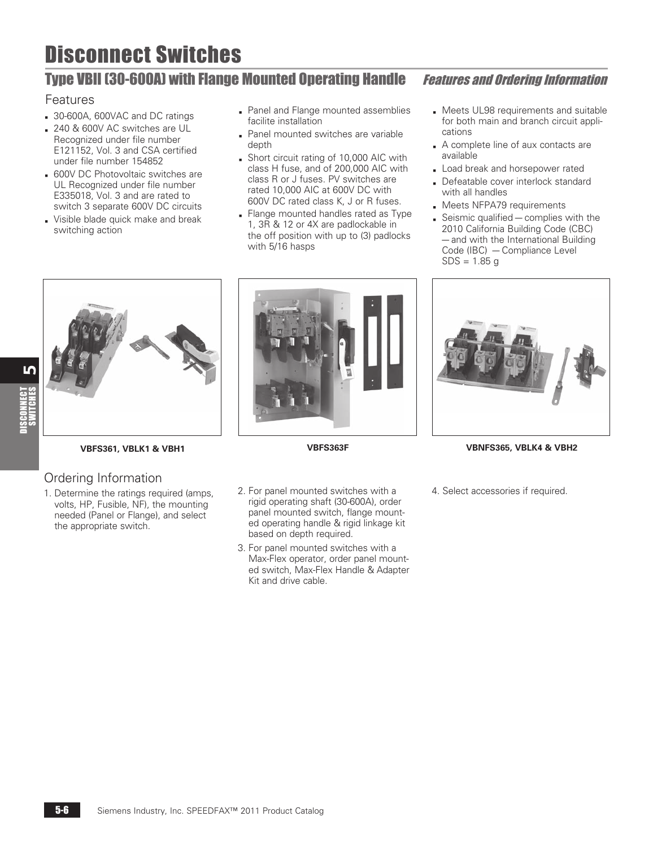# <span id="page-5-0"></span>Type VBII (30-600A) with Flange Mounted Operating Handle Features and Ordering Information

## Features

- 30-600A, 600VAC and DC ratings
- b 240 & 600V AC switches are UL Recognized under file number E121152, Vol. 3 and CSA certified under file number 154852
- **600V DC Photovoltaic switches are** UL Recognized under file number E335018, Vol. 3 and are rated to switch 3 separate 600V DC circuits
- Visible blade quick make and break switching action
- **Panel and Flange mounted assemblies** facilite installation
- Panel mounted switches are variable depth
- **B** Short circuit rating of 10,000 AIC with class H fuse, and of 200,000 AIC with class R or J fuses. PV switches are rated 10,000 AIC at 600V DC with 600V DC rated class K, J or R fuses.
- Flange mounted handles rated as Type 1, 3R & 12 or 4X are padlockable in the off position with up to (3) padlocks with 5/16 hasps

- **B** Meets UL98 requirements and suitable for both main and branch circuit applications
- A complete line of aux contacts are available
- Load break and horsepower rated
- Defeatable cover interlock standard with all handles
- **Meets NFPA79 requirements**
- $\blacksquare$  Seismic qualified complies with the 2010 California Building Code (CBC) — and with the International Building Code (IBC) — Compliance Level  $SDS = 1.85 g$



## Ordering Information

1. Determine the ratings required (amps, volts, HP, Fusible, NF), the mounting needed (Panel or Flange), and select the appropriate switch.



- 2. For panel mounted switches with a rigid operating shaft (30-600A), order panel mounted switch, flange mounted operating handle & rigid linkage kit based on depth required.
- 3. For panel mounted switches with a Max-Flex operator, order panel mounted switch, Max-Flex Handle & Adapter Kit and drive cable.



**VBFS361, VBLK1 & VBH1 VBFS363F VBNFS365, VBLK4 & VBH2**

4. Select accessories if required.

16 DISCONNECT<br>SWITCHES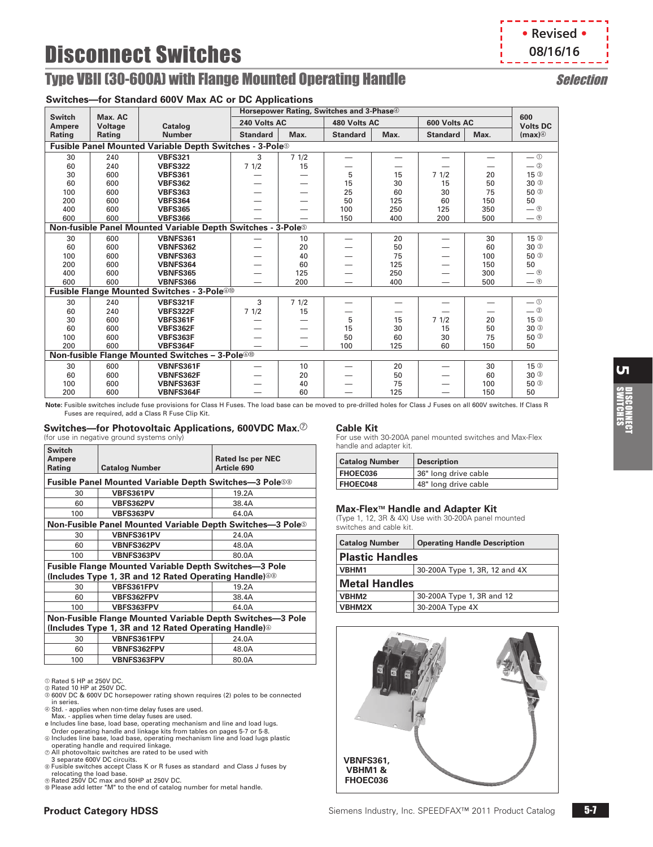## <span id="page-6-0"></span>**Type VBII (30-600A) with Flange Mounted Operating Handle Selection**

#### **Switches—for Standard 600V Max AC or DC Applications**

|               |                                                                         | <b>Programma</b> over may no or Bo Applications                     |                                                      |      |                          |      |                 |      |                                    |
|---------------|-------------------------------------------------------------------------|---------------------------------------------------------------------|------------------------------------------------------|------|--------------------------|------|-----------------|------|------------------------------------|
| <b>Switch</b> | Max. AC                                                                 |                                                                     | Horsepower Rating, Switches and 3-Phase <sup>4</sup> |      |                          |      |                 |      | 600                                |
| Ampere        | Voltage                                                                 | Catalog                                                             | 240 Volts AC                                         |      | 480 Volts AC             |      | 600 Volts AC    |      | <b>Volts DC</b>                    |
| Rating        | Rating                                                                  | <b>Number</b>                                                       | <b>Standard</b>                                      | Max. | <b>Standard</b>          | Max. | <b>Standard</b> | Max. | (max)                              |
|               |                                                                         | Fusible Panel Mounted Variable Depth Switches - 3-Pole <sup>®</sup> |                                                      |      |                          |      |                 |      |                                    |
| 30            | 240                                                                     | <b>VBFS321</b>                                                      | 3                                                    | 71/2 |                          |      |                 |      | $-$ ①                              |
| 60            | 240                                                                     | <b>VBFS322</b>                                                      | 71/2                                                 | 15   |                          |      |                 |      | $\equiv$ ②                         |
| 30            | 600                                                                     | <b>VBFS361</b>                                                      |                                                      |      | 5                        | 15   | 71/2            | 20   | 15 <sup>3</sup>                    |
| 60            | 600                                                                     | <b>VBFS362</b>                                                      |                                                      |      | 15                       | 30   | 15              | 50   | $30$ <sup>3</sup>                  |
| 100           | 600                                                                     | <b>VBFS363</b>                                                      |                                                      |      | 25                       | 60   | 30              | 75   | 50 <sup>3</sup>                    |
| 200           | 600                                                                     | <b>VBFS364</b>                                                      |                                                      |      | 50                       | 125  | 60              | 150  | 50                                 |
| 400           | 600                                                                     | <b>VBFS365</b>                                                      |                                                      |      | 100                      | 250  | 125             | 350  | $ \circ$                           |
| 600           | 600                                                                     | <b>VBFS366</b>                                                      |                                                      |      | 150                      | 400  | 200             | 500  | $ \circ$                           |
|               | Non-fusible Panel Mounted Variable Depth Switches - 3-Pole <sup>®</sup> |                                                                     |                                                      |      |                          |      |                 |      |                                    |
| 30            | 600                                                                     | <b>VBNFS361</b>                                                     |                                                      | 10   | $\overline{\phantom{0}}$ | 20   |                 | 30   | 15 <sup>3</sup>                    |
| 60            | 600                                                                     | <b>VBNFS362</b>                                                     |                                                      | 20   |                          | 50   |                 | 60   | $30$ <sup>3</sup>                  |
| 100           | 600                                                                     | <b>VBNFS363</b>                                                     |                                                      | 40   |                          | 75   |                 | 100  | 50 <sup>3</sup>                    |
| 200           | 600                                                                     | VBNFS364                                                            |                                                      | 60   |                          | 125  |                 | 150  | 50                                 |
| 400           | 600                                                                     | <b>VBNFS365</b>                                                     |                                                      | 125  |                          | 250  |                 | 300  | $\equiv$ (9)                       |
| 600           | 600                                                                     | <b>VBNFS366</b>                                                     |                                                      | 200  |                          | 400  |                 | 500  | $ \circ$                           |
|               |                                                                         | <b>Fusible Flange Mounted Switches - 3-Pole®®</b>                   |                                                      |      |                          |      |                 |      |                                    |
| 30            | 240                                                                     | VBFS321F                                                            | 3                                                    | 71/2 | -                        | —    |                 | -    | $\overline{\phantom{0}}$           |
| 60            | 240                                                                     | VBFS322F                                                            | 71/2                                                 | 15   |                          | -    |                 |      | $\overline{-}$ ②                   |
| 30            | 600                                                                     | VBFS361F                                                            |                                                      |      | 5                        | 15   | 71/2            | 20   | 15 <sup>3</sup>                    |
| 60            | 600                                                                     | VBFS362F                                                            |                                                      |      | 15                       | 30   | 15              | 50   | $30$ <sup>3</sup>                  |
| 100           | 600                                                                     | VBFS363F                                                            |                                                      |      | 50                       | 60   | 30              | 75   | 50 <sup>3</sup>                    |
| 200           | 600                                                                     | VBFS364F                                                            |                                                      |      | 100                      | 125  | 60              | 150  | 50                                 |
|               |                                                                         | <b>Non-fusible Flange Mounted Switches - 3-Pole<sup>@®</sup></b>    |                                                      |      |                          |      |                 |      |                                    |
| 30            | 600                                                                     | VBNFS361F                                                           | -                                                    | 10   | —                        | 20   |                 | 30   | 15 <sup>3</sup>                    |
| 60            | 600                                                                     | VBNFS362F                                                           |                                                      | 20   |                          | 50   |                 | 60   | $30$ <sup><math>\circ</math></sup> |
| 100           | 600                                                                     | VBNFS363F                                                           |                                                      | 40   |                          | 75   |                 | 100  | $50$ <sup>3</sup>                  |
| 200           | 600                                                                     | <b>VBNFS364F</b>                                                    |                                                      | 60   |                          | 125  |                 | 150  | 50                                 |
|               |                                                                         |                                                                     |                                                      |      |                          |      |                 |      |                                    |

**Note:** Fusible switches include fuse provisions for Class H Fuses. The load base can be moved to pre-drilled holes for Class J Fuses on all 600V switches. If Class R Fuses are required, add a Class R Fuse Clip Kit.

#### **Switches—for Photovoltaic Applications, 600VDC Max.**g

(for use in negative ground systems only)

| <b>Switch</b><br><b>Ampere</b><br>Rating | <b>Catalog Number</b>                                                       | <b>Rated Isc per NEC</b><br>Article 690 |  |  |  |  |  |
|------------------------------------------|-----------------------------------------------------------------------------|-----------------------------------------|--|--|--|--|--|
|                                          | <b>Fusible Panel Mounted Variable Depth Switches—3 Pole®®</b>               |                                         |  |  |  |  |  |
| 30                                       | VBFS361PV                                                                   | 19.2A                                   |  |  |  |  |  |
| 60                                       | VBFS362PV                                                                   | 38.4A                                   |  |  |  |  |  |
| 100                                      | VBFS363PV                                                                   | 64.0A                                   |  |  |  |  |  |
|                                          | <b>Non-Fusible Panel Mounted Variable Depth Switches—3 Pole<sup>®</sup></b> |                                         |  |  |  |  |  |
| 30                                       | VBNFS361PV                                                                  | 24.0A                                   |  |  |  |  |  |
| 60                                       | VBNFS362PV                                                                  | 48.0A                                   |  |  |  |  |  |
| 100                                      | VBNFS363PV                                                                  | 80.0A                                   |  |  |  |  |  |
|                                          | <b>Fusible Flange Mounted Variable Depth Switches-3 Pole</b>                |                                         |  |  |  |  |  |
|                                          | (Includes Type 1, 3R and 12 Rated Operating Handle) <sup>33</sup>           |                                         |  |  |  |  |  |
| 30                                       | VBFS361FPV                                                                  | 19.2A                                   |  |  |  |  |  |
| 60                                       | <b>VBFS362FPV</b>                                                           | 38.4A                                   |  |  |  |  |  |
| 100                                      | VBFS363FPV                                                                  | 64.0A                                   |  |  |  |  |  |
|                                          | Non-Fusible Flange Mounted Variable Depth Switches-3 Pole                   |                                         |  |  |  |  |  |
|                                          | (Includes Type 1, 3R and 12 Rated Operating Handle) <sup>©</sup>            |                                         |  |  |  |  |  |
| 30                                       | VBNFS361FPV                                                                 | 24.0A                                   |  |  |  |  |  |
| 60                                       | <b>VBNFS362FPV</b>                                                          | 48.0A                                   |  |  |  |  |  |
| 100                                      | <b>VBNFS363FPV</b>                                                          | 80.0A                                   |  |  |  |  |  |

 $©$  Rated 5 HP at 250V DC.

- @ Rated 10 HP at 250V DC.<br>@ 600V DC & 600V DC horsepower rating shown requires (2) poles to be connected in series.<br>@ Std. - applies when non-time delay fuses are used.
- 
- Max. applies when time delay fuses are used.
- e Includes line base, load base, operating mechanism and line and load lugs. Order operating handle and linkage kits from tables on pages [5-7](#page-6-0) or [5-8](#page-7-0).
- ⊚ Includes line base, load base, operating mechanism line and load lugs plastic<br>operating handle and required linkage.<br>© All photovoltaic switches are rated to be used with
- 
- 3 separate 600V DC circuits.

**Product Category HDSS**

- h Fusible switches accept Class K or R fuses as standard and Class J fuses by relocating the load base.
- ® Rated 250V DC max and 50HP at 250V DC.<br>® Please add letter "M" to the end of catalog number for metal handle.

#### **Cable Kit**

For use with 30-200A panel mounted switches and Max-Flex handle and adapter kit.

| <b>Catalog Number</b> | <b>Description</b>   |
|-----------------------|----------------------|
| <b>FHOEC036</b>       | 36" long drive cable |
| <b>FHOEC048</b>       | 48" long drive cable |

# **Max-Flex™ Handle and Adapter Kit**<br>(Type 1, 12, 3R & 4X) Use with 30-200A panel mounted

switches and cable kit.

| <b>Catalog Number</b>  | <b>Operating Handle Description</b> |  |  |  |  |
|------------------------|-------------------------------------|--|--|--|--|
| <b>Plastic Handles</b> |                                     |  |  |  |  |
| VBHM1                  | 30-200A Type 1, 3R, 12 and 4X       |  |  |  |  |
| <b>Metal Handles</b>   |                                     |  |  |  |  |
| VBHM2                  | 30-200A Type 1, 3R and 12           |  |  |  |  |
| VBHM2X                 | 30-200A Type 4X                     |  |  |  |  |



**• Revised •**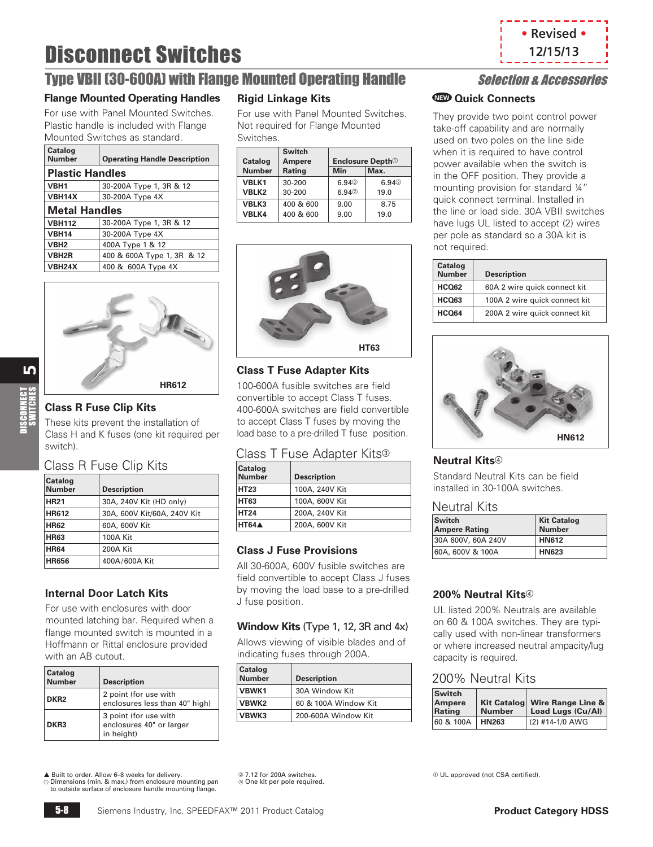

## <span id="page-7-0"></span>Type VBII (30-600A) with Flange Mounted Operating Handle Selection & Accessories

### **Flange Mounted Operating Handles**

For use with Panel Mounted Switches. Plastic handle is included with Flange Mounted Switches as standard.

| Catalog<br><b>Number</b> | <b>Operating Handle Description</b> |  |  |  |  |  |
|--------------------------|-------------------------------------|--|--|--|--|--|
| <b>Plastic Handles</b>   |                                     |  |  |  |  |  |
| VBH1                     | 30-200A Type 1, 3R & 12             |  |  |  |  |  |
| <b>VBH14X</b>            | 30-200A Type 4X                     |  |  |  |  |  |
| <b>Metal Handles</b>     |                                     |  |  |  |  |  |
| <b>VBH112</b>            | 30-200A Type 1, 3R & 12             |  |  |  |  |  |
| <b>VBH14</b>             | 30-200A Type 4X                     |  |  |  |  |  |
| VBH <sub>2</sub>         | 400A Type 1 & 12                    |  |  |  |  |  |
| <b>VBH2R</b>             | 400 & 600A Type 1, 3R & 12          |  |  |  |  |  |
| VBH24X                   | 400 & 600A Type 4X                  |  |  |  |  |  |



<u>ທ</u>

#### **Class R Fuse Clip Kits**

These kits prevent the installation of Class H and K fuses (one kit required per switch).

#### Class R Fuse Clip Kits

| Catalog<br><b>Number</b> | <b>Description</b>          |
|--------------------------|-----------------------------|
| <b>HR21</b>              | 30A, 240V Kit (HD only)     |
| <b>HR612</b>             | 30A, 600V Kit/60A, 240V Kit |
| <b>HR62</b>              | 60A, 600V Kit               |
| <b>HR63</b>              | <b>100A Kit</b>             |
| <b>HR64</b>              | 200A Kit                    |
| <b>HR656</b>             | 400A/600A Kit               |

#### **Internal Door Latch Kits**

For use with enclosures with door mounted latching bar. Required when a flange mounted switch is mounted in a Hoffmann or Rittal enclosure provided with an AB cutout.

| Catalog<br><b>Number</b> | <b>Description</b>                                              |
|--------------------------|-----------------------------------------------------------------|
| DKR <sub>2</sub>         | 2 point (for use with<br>enclosures less than 40" high)         |
| DKR <sub>3</sub>         | 3 point (for use with<br>enclosures 40" or larger<br>in height) |

#### **Rigid Linkage Kits**

For use with Panel Mounted Switches. Not required for Flange Mounted Switches.

|               | <b>Switch</b> |                                      |       |
|---------------|---------------|--------------------------------------|-------|
| Catalog       | Ampere        | <b>Enclosure Depth</b> <sup>10</sup> |       |
| <b>Number</b> | Rating        | <b>Min</b>                           | Max.  |
| VBLK1         | 30-200        | 6.940                                | 6.94% |
| VBLK2         | 30-200        | 6.940                                | 19.0  |
| VBLK3         | 400 & 600     | 9.00                                 | 8.75  |
| VBLK4         | 400 & 600     | 9.00                                 | 19.0  |



#### **Class T Fuse Adapter Kits**

100-600A fusible switches are field convertible to accept Class T fuses. 400-600A switches are field convertible to accept Class T fuses by moving the load base to a pre-drilled T fuse position.

### Class T Fuse Adapter Kits<sup>®</sup>

| Catalog<br>Number | <b>Description</b> |
|-------------------|--------------------|
| <b>HT23</b>       | 100A, 240V Kit     |
| HT63              | 100A, 600V Kit     |
| HT <sub>24</sub>  | 200A, 240V Kit     |
| HT64A             | 200A, 600V Kit     |

#### **Class J Fuse Provisions**

All 30-600A, 600V fusible switches are field convertible to accept Class J fuses by moving the load base to a pre-drilled by moving the load base to a pre-drilled **200% Neutral Kits**<sup>49</sup><br>J fuse position.

#### **Window Kits** (Type 1, 12, 3R and 4x)

Allows viewing of visible blades and of indicating fuses through 200A.

| <b>Catalog</b><br><b>Number</b> | <b>Description</b>   |
|---------------------------------|----------------------|
| VBWK1                           | 30A Window Kit       |
| <b>VBWK2</b>                    | 60 & 100A Window Kit |
| VBWK3                           | 200-600A Window Kit  |

#### **Quick Connects NEW**

They provide two point control power take-off capability and are normally used on two poles on the line side when it is required to have control power available when the switch is in the OFF position. They provide a mounting provision for standard ¼" quick connect terminal. Installed in the line or load side. 30A VBII switches have lugs UL listed to accept (2) wires per pole as standard so a 30A kit is not required.

| Catalog<br><b>Number</b> | <b>Description</b>            |
|--------------------------|-------------------------------|
| <b>HCQ62</b>             | 60A 2 wire quick connect kit  |
| <b>HCO63</b>             | 100A 2 wire quick connect kit |
| HCO <sub>64</sub>        | 200A 2 wire quick connect kit |



### **Neutral Kits**<sup>d</sup>

Standard Neutral Kits can be field installed in 30-100A switches.

#### Neutral Kits

| Switch<br><b>Ampere Rating</b> | <b>Kit Catalog</b><br><b>Number</b> |  |  |
|--------------------------------|-------------------------------------|--|--|
| 30A 600V, 60A 240V             | <b>HN612</b>                        |  |  |
| 60A, 600V & 100A               | <b>HN623</b>                        |  |  |

UL listed 200% Neutrals are available on 60 & 100A switches. They are typically used with non-linear transformers or where increased neutral ampacity/lug capacity is required.

#### 200% Neutral Kits

| <b>Switch</b><br>Ampere<br>Rating | <b>Number</b> | Kit Catalog Wire Range Line &<br>Load Lugs (Cu/Al) |  |  |
|-----------------------------------|---------------|----------------------------------------------------|--|--|
| 60 & 100A                         | <b>HN263</b>  | (2) #14-1/0 AWG                                    |  |  |

▲ Built to order. Allow 6–8 weeks for delivery. a Dimensions (min. & max.) from enclosure mounting pan to outside surface of enclosure handle mounting flange.

2.7.12 for 200A switches. **One kit per pole required.**  d UL approved (not CSA certified).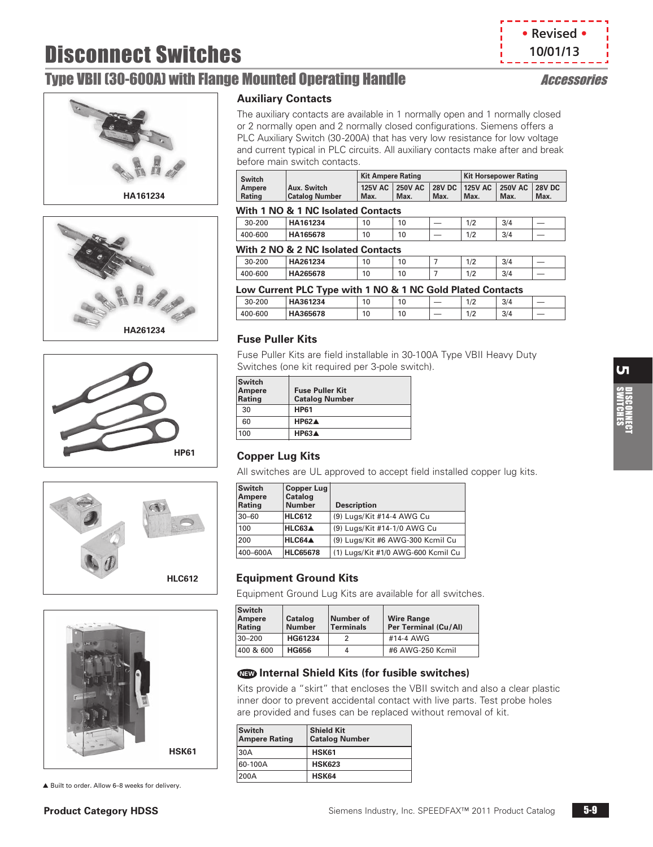## <span id="page-8-0"></span>Type VBII (30-600A) with Flange Mounted Operating Handle Accessories

**• Revised • 10/01/13**











▲ Built to order. Allow 6–8 weeks for delivery.

#### **Auxiliary Contacts**

The auxiliary contacts are available in 1 normally open and 1 normally closed or 2 normally open and 2 normally closed configurations. Siemens offers a PLC Auxiliary Switch (30-200A) that has very low resistance for low voltage and current typical in PLC circuits. All auxiliary contacts make after and break before main switch contacts.

| <b>Switch</b>           |                                      | Kit Ampere Rating |      |      | Kit Horsepower Rating |                                                                 |      |
|-------------------------|--------------------------------------|-------------------|------|------|-----------------------|-----------------------------------------------------------------|------|
| Ampere<br><b>Rating</b> | Aux. Switch<br><b>Catalog Number</b> | Max.              | Max. | Max. | Max.                  | 125V AC   250V AC   28V DC   125V AC   250V AC   28V DC<br>Max. | Max. |

#### **With 1 NO & 1 NC Isolated Contacts**

|         | . .<br>.<br>__<br>__ | __<br>__<br>------ |    |   |            |     |                          |
|---------|----------------------|--------------------|----|---|------------|-----|--------------------------|
| 30-200  | HA161234             | 10                 | 10 | – | 1/2<br>1/2 | 3/4 | $\overline{\phantom{a}}$ |
| 400-600 | HA165678             | 10                 | 10 | _ | 1/2<br>╹╵  | 3/4 | $\overline{\phantom{a}}$ |
|         |                      |                    |    |   |            |     |                          |

#### **With 2 NO & 2 NC Isolated Contacts**

| 30-200  | HA261234 | 10 | 10 |  | 1/2 | 3/4 |  |
|---------|----------|----|----|--|-----|-----|--|
| 400-600 | HA265678 | 10 | 10 |  | 1/2 | 3/4 |  |
|         |          |    |    |  |     |     |  |

| Low Current PLC Type with 1 NO & 1 NC Gold Plated Contacts |          |    |    |     |     |     |  |
|------------------------------------------------------------|----------|----|----|-----|-----|-----|--|
| $30 - 200$                                                 | HA361234 | 10 | 10 | $-$ | 1/2 | 3/4 |  |
| 400-600                                                    | HA365678 | 10 | 10 |     | 1/2 | 3/4 |  |

#### **Fuse Puller Kits**

Fuse Puller Kits are field installable in 30-100A Type VBII Heavy Duty Switches (one kit required per 3-pole switch).

| Switch<br>Ampere<br>Rating | <b>Fuse Puller Kit</b><br><b>Catalog Number</b> |
|----------------------------|-------------------------------------------------|
| 30                         | <b>HP61</b>                                     |
| 60                         | HP62A                                           |
| 100                        | HP63A                                           |

## **HP61 Copper Lug Kits**

All switches are UL approved to accept field installed copper lug kits.

| <b>Switch</b><br>Ampere<br>Rating | <b>Copper Lug</b><br><b>Catalog</b><br><b>Number</b> | <b>Description</b>                 |
|-----------------------------------|------------------------------------------------------|------------------------------------|
| $30 - 60$                         | <b>HLC612</b>                                        | (9) Lugs/Kit #14-4 AWG Cu          |
| 100                               | HLC63A                                               | (9) Lugs/Kit #14-1/0 AWG Cu        |
| 200                               | HLC64A                                               | (9) Lugs/Kit #6 AWG-300 Kcmil Cu   |
| 400-600A                          | <b>HLC65678</b>                                      | (1) Lugs/Kit #1/0 AWG-600 Kcmil Cu |

### **Equipment Ground Kits**

Equipment Ground Lug Kits are available for all switches.

| <b>Switch</b><br>Ampere<br>Rating | Catalog<br><b>Number</b> | Number of<br>Terminals | <b>Wire Range</b><br>Per Terminal (Cu/Al) |
|-----------------------------------|--------------------------|------------------------|-------------------------------------------|
| $30 - 200$                        | HG61234                  |                        | #14-4 AWG                                 |
| 400 & 600                         | <b>HG656</b>             | 4                      | #6 AWG-250 Kcmil                          |

### **Internal Shield Kits (for fusible switches) NEW**

Kits provide a "skirt" that encloses the VBII switch and also a clear plastic inner door to prevent accidental contact with live parts. Test probe holes are provided and fuses can be replaced without removal of kit.

| <b>Switch</b><br><b>Ampere Rating</b> | <b>Shield Kit</b><br><b>Catalog Number</b> |
|---------------------------------------|--------------------------------------------|
| 30A                                   | HSK61                                      |
| 60-100A                               | <b>HSK623</b>                              |
| 200A                                  | HSK64                                      |